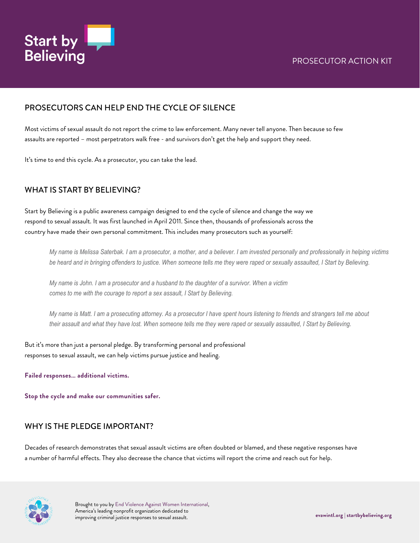

#### PROSECUTORS CAN HELP END THE CYCLE OF SILENCE

Most victims of sexual assault do not report the crime to law enforcement. Many never tell anyone. Then because so few assaults are reported – most perpetrators walk free - and survivors don't get the help and support they need.

It's time to end this cycle. As a prosecutor, you can take the lead.

## WHAT IS START BY BELIEVING?

Start by Believing is a public awareness campaign designed to end the cycle of silence and change the way we respond to sexual assault. It was first launched in April 2011. Since then, thousands of professionals across the country have made their own personal commitment. This includes many prosecutors such as yourself:

*My name is Melissa Saterbak. I am a prosecutor, a mother, and a believer. I am invested personally and professionally in helping victims be heard and in bringing offenders to justice. When someone tells me they were raped or sexually assaulted, I Start by Believing.*

*My name is John. I am a prosecutor and a husband to the daughter of a survivor. When a victim comes to me with the courage to report a sex assault, I Start by Believing.*

*My name is Matt. I am a prosecuting attorney. As a prosecutor I have spent hours listening to friends and strangers tell me about their assault and what they have lost. When someone tells me they were raped or sexually assaulted, I Start by Believing.*

But it's more than just a personal pledge. By transforming personal and professional responses to sexual assault, we can help victims pursue justice and healing.

**Failed responses… additional victims.**

**Stop the cycle and make our communities safer.**

#### WHY IS THE PLEDGE IMPORTANT?

Decades of research demonstrates that sexual assault victims are often doubted or blamed, and these negative responses have a number of harmful effects. They also decrease the chance that victims will report the crime and reach out for help.

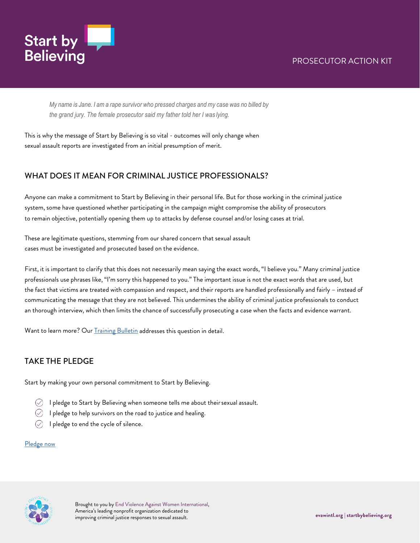

*My name is Jane. I am a rape survivor who pressed charges and my case was no billed by the grand jury. The female prosecutor said my father told her I was lying.*

This is why the message of Start by Believing is so vital - outcomes will only change when sexual assault reports are investigated from an initial presumption of merit.

## WHAT DOES IT MEAN FOR CRIMINAL JUSTICE PROFESSIONALS?

Anyone can make a commitment to Start by Believing in their personal life. But for those working in the criminal justice system, some have questioned whether participating in the campaign might compromise the ability of prosecutors to remain objective, potentially opening them up to attacks by defense counsel and/or losing cases at trial.

These are legitimate questions, stemming from our shared concern that sexual assault cases must be investigated and prosecuted based on the evidence.

First, it is important to clarify that this does not necessarily mean saying the exact words, "I believe you." Many criminal justice professionals use phrases like, "I'm sorry this happened to you." The important issue is not the exact words that are used, but the fact that victims are treated with compassion and respect, and their reports are handled professionally and fairly – instead of communicating the message that they are not believed. This undermines the ability of criminal justice professionals to conduct an thorough interview, which then limits the chance of successfully prosecuting a case when the facts and evidence warrant.

Want to learn more? Our **Training Bulletin** addresses this question in detail.

## TAKE THE PLEDGE

Start by making your own personal commitment to Start by Believing.

- $\oslash$  I pledge to Start by Believing when someone tells me about their sexual assault.
- $\oslash$  I pledge to help survivors on the road to justice and healing.
- $\oslash$  I pledge to end the cycle of silence.

#### [Pledge now](https://www.startbybelieving.org/pledge/)

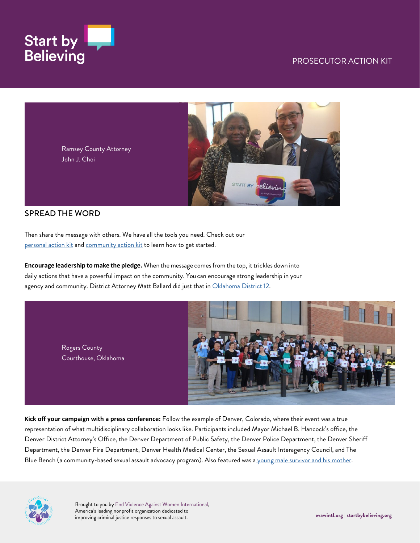



#### SPREAD THE WORD

Then share the message with others. We have all the tools you need. Check out our [personal action kit](https://www.startbybelieving.org/wp-content/uploads/2020/08/Personal-Action-Kit.pdf) and [community action kit](https://www.startbybelieving.org/wp-content/uploads/2020/08/Community-Action-Kit.pdf) to learn how to get started.

**Encourage leadership to make the pledge.** When the message comesfrom the top, it trickles down into daily actions that have a powerful impact on the community. You can encourage strong leadership in your agency and community. District Attorney Matt Ballard did just that i[n Oklahoma District](http://daballard.com/take-a-stand-against-sexual-assault-join-d-a-ballard-on-start-by-believing-day/) 12.

> Rogers County Courthouse, Oklahoma



**Kick off your campaign with a press conference:** Follow the example of Denver, Colorado, where their event was a true representation of what multidisciplinary collaboration looks like. Participants included Mayor Michael B. Hancock's office, the Denver District Attorney's Office, the Denver Department of Public Safety, the Denver Police Department, the Denver Sheriff Department, the Denver Fire Department, Denver Health Medical Center, the Sexual Assault Interagency Council, and The Blue Bench (a community-based sexual assault advocacy program). Also featured was a [young male survivor and his mother.](https://www.youtube.com/watch?v=DSgfTiWb2po)